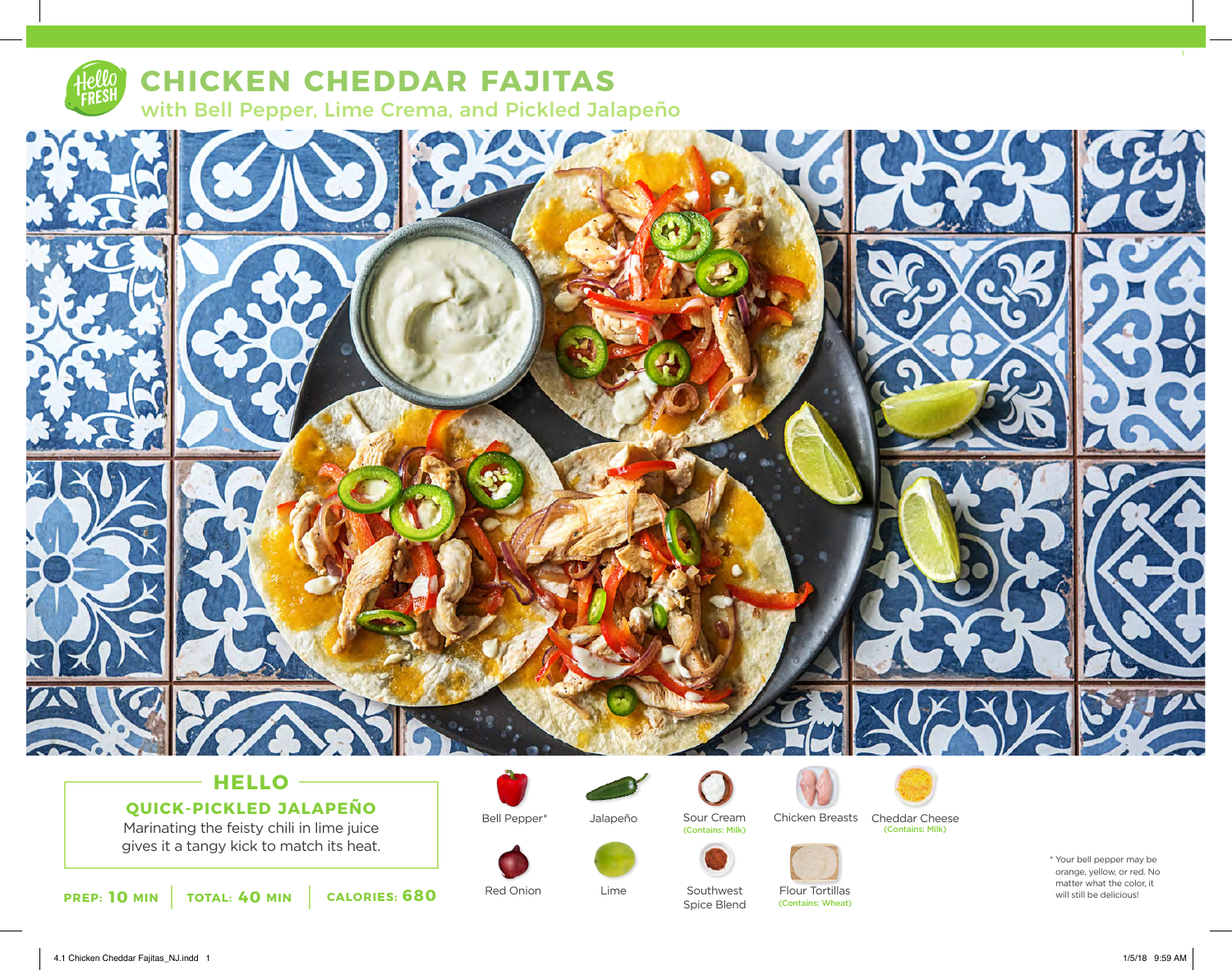

## **CHICKEN CHEDDAR FAJITAS** with Bell Pepper, Lime Crema, and Pickled Jalapeño



# **QUICK-PICKLED JALAPEÑO**

Marinating the feisty chili in lime juice gives it a tangy kick to match its heat.



Red Onion Lime Southwest

Bell Pepper\*



Jalapeño

Lime





(Contains: Milk) (Contains: Milk)

Spice Blend

Flour Tortillas (Contains: Wheat)



\* Your bell pepper may be orange, yellow, or red. No matter what the color, it<br>will still be delicious!

4.1 Chicken Cheddar Fajitas\_NJ.indd 1 1/5/18 9:59 AM